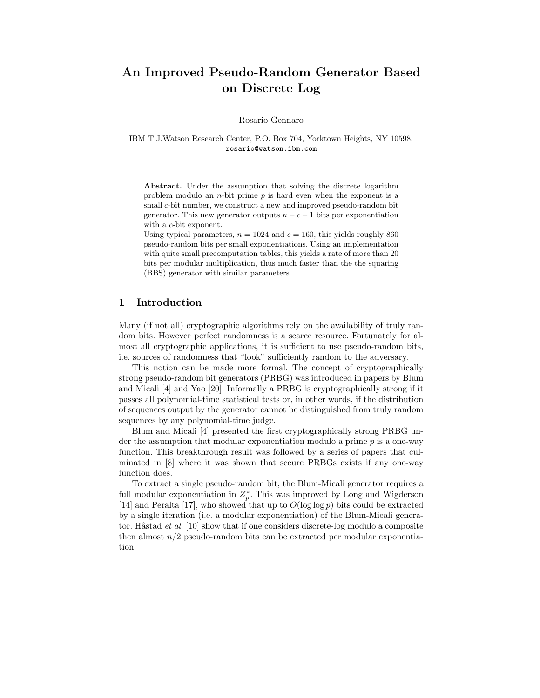# An Improved Pseudo-Random Generator Based on Discrete Log

Rosario Gennaro

IBM T.J.Watson Research Center, P.O. Box 704, Yorktown Heights, NY 10598, rosario@watson.ibm.com

Abstract. Under the assumption that solving the discrete logarithm problem modulo an *n*-bit prime  $p$  is hard even when the exponent is a small c-bit number, we construct a new and improved pseudo-random bit generator. This new generator outputs  $n - c - 1$  bits per exponentiation with a *c*-bit exponent.

Using typical parameters,  $n = 1024$  and  $c = 160$ , this yields roughly 860 pseudo-random bits per small exponentiations. Using an implementation with quite small precomputation tables, this yields a rate of more than 20 bits per modular multiplication, thus much faster than the the squaring (BBS) generator with similar parameters.

# 1 Introduction

Many (if not all) cryptographic algorithms rely on the availability of truly random bits. However perfect randomness is a scarce resource. Fortunately for almost all cryptographic applications, it is sufficient to use pseudo-random bits, i.e. sources of randomness that "look" sufficiently random to the adversary.

This notion can be made more formal. The concept of cryptographically strong pseudo-random bit generators (PRBG) was introduced in papers by Blum and Micali [4] and Yao [20]. Informally a PRBG is cryptographically strong if it passes all polynomial-time statistical tests or, in other words, if the distribution of sequences output by the generator cannot be distinguished from truly random sequences by any polynomial-time judge.

Blum and Micali [4] presented the first cryptographically strong PRBG under the assumption that modular exponentiation modulo a prime  $p$  is a one-way function. This breakthrough result was followed by a series of papers that culminated in [8] where it was shown that secure PRBGs exists if any one-way function does.

To extract a single pseudo-random bit, the Blum-Micali generator requires a full modular exponentiation in  $Z_p^*$ . This was improved by Long and Wigderson [14] and Peralta [17], who showed that up to  $O(\log \log p)$  bits could be extracted by a single iteration (i.e. a modular exponentiation) of the Blum-Micali generator. Håstad *et al.* [10] show that if one considers discrete-log modulo a composite then almost  $n/2$  pseudo-random bits can be extracted per modular exponentiation.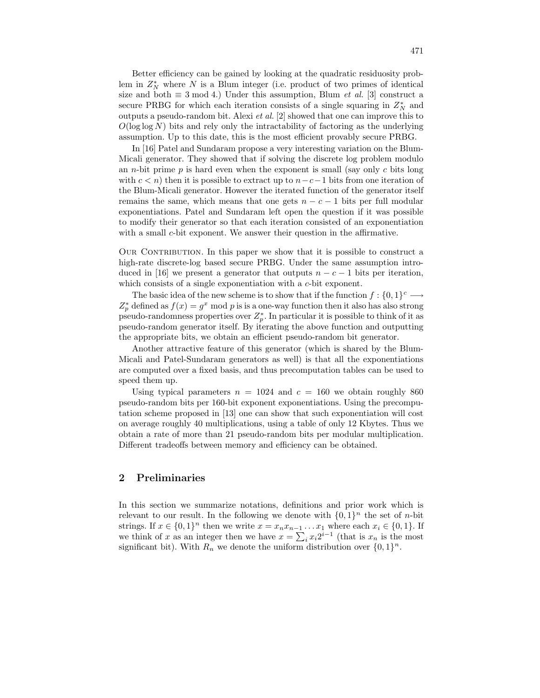Better efficiency can be gained by looking at the quadratic residuosity problem in  $Z_N^*$  where N is a Blum integer (i.e. product of two primes of identical size and both  $\equiv 3 \mod 4$ .) Under this assumption, Blum *et al.* [3] construct a secure PRBG for which each iteration consists of a single squaring in  $Z_N^*$  and outputs a pseudo-random bit. Alexi *et al.* [2] showed that one can improve this to  $O(\log \log N)$  bits and rely only the intractability of factoring as the underlying assumption. Up to this date, this is the most efficient provably secure PRBG.

In [16] Patel and Sundaram propose a very interesting variation on the Blum-Micali generator. They showed that if solving the discrete log problem modulo an *n*-bit prime  $p$  is hard even when the exponent is small (say only  $c$  bits long with  $c < n$ ) then it is possible to extract up to  $n-c-1$  bits from one iteration of the Blum-Micali generator. However the iterated function of the generator itself remains the same, which means that one gets  $n - c - 1$  bits per full modular exponentiations. Patel and Sundaram left open the question if it was possible to modify their generator so that each iteration consisted of an exponentiation with a small c-bit exponent. We answer their question in the affirmative.

OUR CONTRIBUTION. In this paper we show that it is possible to construct a high-rate discrete-log based secure PRBG. Under the same assumption introduced in [16] we present a generator that outputs  $n - c - 1$  bits per iteration, which consists of a single exponentiation with a c-bit exponent.

The basic idea of the new scheme is to show that if the function  $f: \{0,1\}^c \longrightarrow$  $Z_p^*$  defined as  $f(x) = g^x \mod p$  is is a one-way function then it also has also strong pseudo-randomness properties over  $Z_p^*$ . In particular it is possible to think of it as pseudo-random generator itself. By iterating the above function and outputting the appropriate bits, we obtain an efficient pseudo-random bit generator.

Another attractive feature of this generator (which is shared by the Blum-Micali and Patel-Sundaram generators as well) is that all the exponentiations are computed over a fixed basis, and thus precomputation tables can be used to speed them up.

Using typical parameters  $n = 1024$  and  $c = 160$  we obtain roughly 860 pseudo-random bits per 160-bit exponent exponentiations. Using the precomputation scheme proposed in [13] one can show that such exponentiation will cost on average roughly 40 multiplications, using a table of only 12 Kbytes. Thus we obtain a rate of more than 21 pseudo-random bits per modular multiplication. Different tradeoffs between memory and efficiency can be obtained.

# 2 Preliminaries

In this section we summarize notations, definitions and prior work which is relevant to our result. In the following we denote with  $\{0,1\}^n$  the set of *n*-bit strings. If  $x \in \{0,1\}^n$  then we write  $x = x_n x_{n-1} \dots x_1$  where each  $x_i \in \{0,1\}$ . If we think of x as an integer then we have  $x = \sum_i x_i 2^{i-1}$  (that is  $x_n$  is the most significant bit). With  $R_n$  we denote the uniform distribution over  $\{0,1\}^n$ .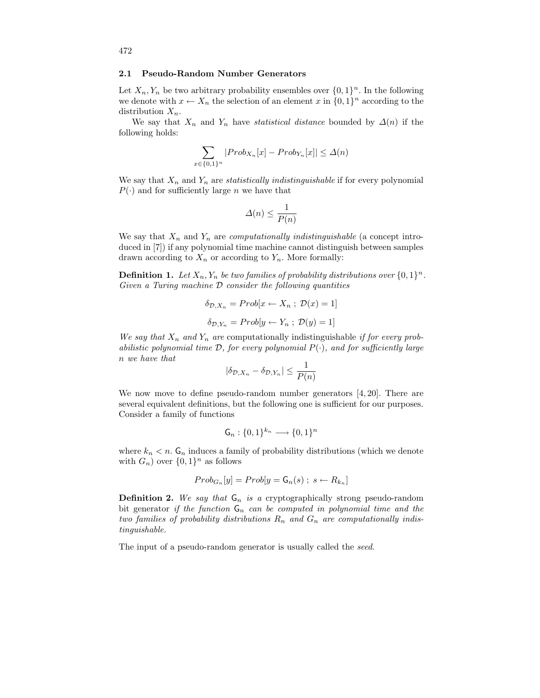#### 2.1 Pseudo-Random Number Generators

Let  $X_n, Y_n$  be two arbitrary probability ensembles over  $\{0, 1\}^n$ . In the following we denote with  $x \leftarrow X_n$  the selection of an element x in  $\{0,1\}^n$  according to the distribution  $X_n$ .

We say that  $X_n$  and  $Y_n$  have *statistical distance* bounded by  $\Delta(n)$  if the following holds:

$$
\sum_{x \in \{0,1\}^n} |Prob_{X_n}[x] - Prob_{Y_n}[x]| \le \Delta(n)
$$

We say that  $X_n$  and  $Y_n$  are *statistically indistinguishable* if for every polynomial  $P(\cdot)$  and for sufficiently large *n* we have that

$$
\Delta(n) \le \frac{1}{P(n)}
$$

We say that  $X_n$  and  $Y_n$  are *computationally indistinguishable* (a concept introduced in [7]) if any polynomial time machine cannot distinguish between samples drawn according to  $X_n$  or according to  $Y_n$ . More formally:

**Definition 1.** Let  $X_n, Y_n$  be two families of probability distributions over  $\{0,1\}^n$ . Given a Turing machine  $D$  consider the following quantities

$$
\delta_{\mathcal{D}, X_n} = Prob[x \leftarrow X_n ; \mathcal{D}(x) = 1]
$$

$$
\delta_{\mathcal{D}, Y_n} = Prob[y \leftarrow Y_n ; \mathcal{D}(y) = 1]
$$

We say that  $X_n$  and  $Y_n$  are computationally indistinguishable if for every probabilistic polynomial time  $\mathcal{D}$ , for every polynomial  $P(\cdot)$ , and for sufficiently large n we have that

$$
|\delta_{\mathcal{D},X_n} - \delta_{\mathcal{D},Y_n}| \le \frac{1}{P(n)}
$$

We now move to define pseudo-random number generators  $[4, 20]$ . There are several equivalent definitions, but the following one is sufficient for our purposes. Consider a family of functions

$$
\mathsf{G}_n: \{0,1\}^{k_n} \longrightarrow \{0,1\}^n
$$

where  $k_n < n$ .  $\mathsf{G}_n$  induces a family of probability distributions (which we denote with  $G_n$ ) over  $\{0,1\}^n$  as follows

$$
Prob_{G_n}[y] = Prob[y = \mathsf{G}_n(s) \; ; \; s \leftarrow R_{k_n}]
$$

**Definition 2.** We say that  $G_n$  is a cryptographically strong pseudo-random bit generator if the function  $G_n$  can be computed in polynomial time and the two families of probability distributions  $R_n$  and  $G_n$  are computationally indistinguishable.

The input of a pseudo-random generator is usually called the *seed*.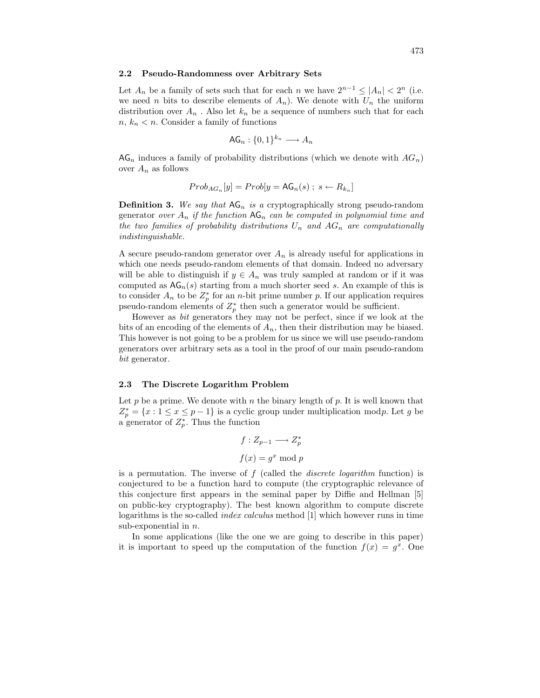#### 2.2 Pseudo-Randomness over Arbitrary Sets

Let  $A_n$  be a family of sets such that for each n we have  $2^{n-1} \leq |A_n| < 2^n$  (i.e. we need *n* bits to describe elements of  $A_n$ ). We denote with  $U_n$  the uniform distribution over  $A_n$ . Also let  $k_n$  be a sequence of numbers such that for each  $n, k_n < n$ . Consider a family of functions

$$
\mathsf{AG}_n: \{0,1\}^{k_n} \longrightarrow A_n
$$

 $AG_n$  induces a family of probability distributions (which we denote with  $AG_n$ ) over  $A_n$  as follows

$$
Prob_{AG_n}[y] = Prob[y = AG_n(s); s \leftarrow R_{k_n}]
$$

**Definition 3.** We say that  $AG_n$  is a cryptographically strong pseudo-random generator over  $A_n$  if the function  $AG_n$  can be computed in polynomial time and the two families of probability distributions  $U_n$  and  $AG_n$  are computationally indistinguishable.

A secure pseudo-random generator over  $A_n$  is already useful for applications in which one needs pseudo-random elements of that domain. Indeed no adversary will be able to distinguish if  $y \in A_n$  was truly sampled at random or if it was computed as  $AG_n(s)$  starting from a much shorter seed s. An example of this is to consider  $A_n$  to be  $Z_p^*$  for an *n*-bit prime number p. If our application requires pseudo-random elements of  $Z_p^*$  then such a generator would be sufficient.

However as bit generators they may not be perfect, since if we look at the bits of an encoding of the elements of  $A_n$ , then their distribution may be biased. This however is not going to be a problem for us since we will use pseudo-random generators over arbitrary sets as a tool in the proof of our main pseudo-random bit generator.

### 2.3 The Discrete Logarithm Problem

Let  $p$  be a prime. We denote with  $n$  the binary length of  $p$ . It is well known that  $Z_p^* = \{x : 1 \leq x \leq p-1\}$  is a cyclic group under multiplication modp. Let g be a generator of  $Z_p^*$ . Thus the function

$$
f: Z_{p-1} \longrightarrow Z_p^*
$$

$$
f(x) = g^x \mod p
$$

is a permutation. The inverse of  $f$  (called the *discrete logarithm* function) is conjectured to be a function hard to compute (the cryptographic relevance of this conjecture first appears in the seminal paper by Diffie and Hellman [5] on public-key cryptography). The best known algorithm to compute discrete logarithms is the so-called index calculus method [1] which however runs in time sub-exponential in  $n$ .

In some applications (like the one we are going to describe in this paper) it is important to speed up the computation of the function  $f(x) = g^x$ . One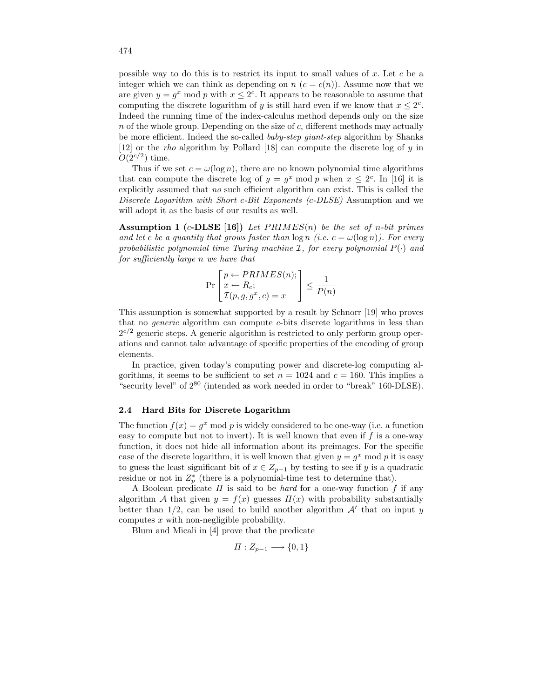possible way to do this is to restrict its input to small values of x. Let c be a integer which we can think as depending on  $n$   $(c = c(n))$ . Assume now that we are given  $y = g^x \mod p$  with  $x \leq 2^c$ . It appears to be reasonable to assume that computing the discrete logarithm of y is still hard even if we know that  $x \leq 2<sup>c</sup>$ . Indeed the running time of the index-calculus method depends only on the size  $n$  of the whole group. Depending on the size of  $c$ , different methods may actually be more efficient. Indeed the so-called *baby-step giant-step* algorithm by Shanks [12] or the *rho* algorithm by Pollard [18] can compute the discrete log of  $y$  in  $O(2^{c/2})$  time.

Thus if we set  $c = \omega(\log n)$ , there are no known polynomial time algorithms that can compute the discrete log of  $y = g^x \mod p$  when  $x \leq 2^c$ . In [16] it is explicitly assumed that no such efficient algorithm can exist. This is called the Discrete Logarithm with Short c-Bit Exponents (c-DLSE) Assumption and we will adopt it as the basis of our results as well.

Assumption 1 (c-DLSE [16]) Let  $PRIMES(n)$  be the set of n-bit primes and let c be a quantity that grows faster than  $\log n$  (i.e.  $c = \omega(\log n)$ ). For every probabilistic polynomial time Turing machine  $\mathcal{I}$ , for every polynomial  $P(\cdot)$  and for sufficiently large n we have that

$$
\Pr\left[\begin{matrix}p \leftarrow PRIMES(n);\\x \leftarrow R_c;\\ \mathcal{I}(p, g, g^x, c) = x\end{matrix}\right] \le \frac{1}{P(n)}
$$

This assumption is somewhat supported by a result by Schnorr [19] who proves that no generic algorithm can compute c-bits discrete logarithms in less than  $2^{c/2}$  generic steps. A generic algorithm is restricted to only perform group operations and cannot take advantage of specific properties of the encoding of group elements.

In practice, given today's computing power and discrete-log computing algorithms, it seems to be sufficient to set  $n = 1024$  and  $c = 160$ . This implies a "security level" of 2 <sup>80</sup> (intended as work needed in order to "break" 160-DLSE).

### 2.4 Hard Bits for Discrete Logarithm

The function  $f(x) = g^x \mod p$  is widely considered to be one-way (i.e. a function easy to compute but not to invert). It is well known that even if  $f$  is a one-way function, it does not hide all information about its preimages. For the specific case of the discrete logarithm, it is well known that given  $y = g^x \mod p$  it is easy to guess the least significant bit of  $x \in Z_{p-1}$  by testing to see if y is a quadratic residue or not in  $Z_p^*$  (there is a polynomial-time test to determine that).

A Boolean predicate  $\Pi$  is said to be *hard* for a one-way function  $f$  if any algorithm A that given  $y = f(x)$  guesses  $\Pi(x)$  with probability substantially better than  $1/2$ , can be used to build another algorithm  $A'$  that on input y computes x with non-negligible probability.

Blum and Micali in [4] prove that the predicate

$$
\Pi: Z_{p-1} \longrightarrow \{0,1\}
$$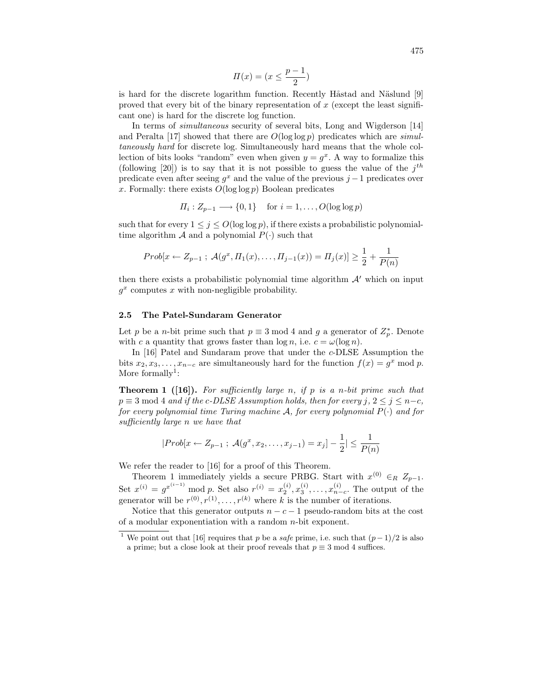$$
\Pi(x) = (x \le \frac{p-1}{2})
$$

is hard for the discrete logarithm function. Recently Håstad and Näslund [9] proved that every bit of the binary representation of  $x$  (except the least significant one) is hard for the discrete log function.

In terms of simultaneous security of several bits, Long and Wigderson [14] and Peralta [17] showed that there are  $O(\log \log p)$  predicates which are simultaneously hard for discrete log. Simultaneously hard means that the whole collection of bits looks "random" even when given  $y = g^x$ . A way to formalize this (following [20]) is to say that it is not possible to guess the value of the  $j<sup>th</sup>$ predicate even after seeing  $g^x$  and the value of the previous  $j-1$  predicates over x. Formally: there exists  $O(\log \log p)$  Boolean predicates

$$
\Pi_i: Z_{p-1} \longrightarrow \{0, 1\} \quad \text{ for } i = 1, \dots, O(\log \log p)
$$

such that for every  $1 \leq j \leq O(\log \log p)$ , if there exists a probabilistic polynomialtime algorithm A and a polynomial  $P(\cdot)$  such that

$$
Prob[x \leftarrow Z_{p-1} ; \mathcal{A}(g^x, \Pi_1(x), \dots, \Pi_{j-1}(x)) = \Pi_j(x)] \ge \frac{1}{2} + \frac{1}{P(n)}
$$

then there exists a probabilistic polynomial time algorithm  $\mathcal{A}'$  which on input  $g^x$  computes x with non-negligible probability.

### 2.5 The Patel-Sundaram Generator

Let p be a n-bit prime such that  $p \equiv 3 \mod 4$  and g a generator of  $Z_p^*$ . Denote with c a quantity that grows faster than  $\log n$ , i.e.  $c = \omega(\log n)$ .

In [16] Patel and Sundaram prove that under the c-DLSE Assumption the bits  $x_2, x_3, \ldots, x_{n-c}$  are simultaneously hard for the function  $f(x) = g^x \mod p$ . More formally<sup>1</sup>:

**Theorem 1** ([16]). For sufficiently large n, if p is a n-bit prime such that  $p \equiv 3 \mod 4$  and if the c-DLSE Assumption holds, then for every  $j, 2 \leq j \leq n-c$ , for every polynomial time Turing machine  $A$ , for every polynomial  $P(\cdot)$  and for sufficiently large n we have that

$$
|Prob[x \leftarrow Z_{p-1} ; \mathcal{A}(g^x, x_2, \dots, x_{j-1}) = x_j] - \frac{1}{2}| \le \frac{1}{P(n)}
$$

We refer the reader to [16] for a proof of this Theorem.

Theorem 1 immediately yields a secure PRBG. Start with  $x^{(0)} \in R \mathbb{Z}_{p-1}$ . Set  $x^{(i)} = g^{x^{(i-1)}}$  mod p. Set also  $r^{(i)} = x_2^{(i)}, x_3^{(i)}, \ldots, x_{n-c}^{(i)}$ . The output of the generator will be  $r^{(0)}, r^{(1)}, \ldots, r^{(k)}$  where k is the number of iterations.

Notice that this generator outputs  $n - c - 1$  pseudo-random bits at the cost of a modular exponentiation with a random n-bit exponent.

<sup>&</sup>lt;sup>1</sup> We point out that [16] requires that p be a safe prime, i.e. such that  $(p-1)/2$  is also a prime; but a close look at their proof reveals that  $p \equiv 3 \mod 4$  suffices.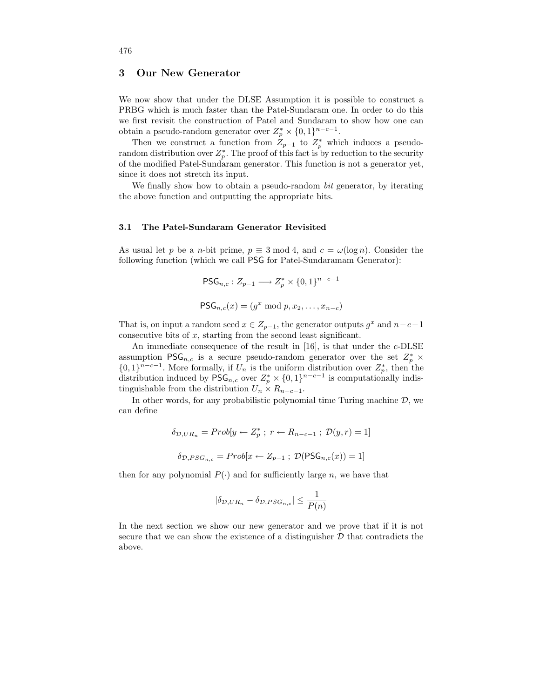# 3 Our New Generator

We now show that under the DLSE Assumption it is possible to construct a PRBG which is much faster than the Patel-Sundaram one. In order to do this we first revisit the construction of Patel and Sundaram to show how one can obtain a pseudo-random generator over  $Z_p^* \times \{0,1\}^{n-c-1}$ .

Then we construct a function from  $Z_{p-1}$  to  $Z_p^*$  which induces a pseudorandom distribution over  $Z_p^*$ . The proof of this fact is by reduction to the security of the modified Patel-Sundaram generator. This function is not a generator yet, since it does not stretch its input.

We finally show how to obtain a pseudo-random *bit* generator, by iterating the above function and outputting the appropriate bits.

### 3.1 The Patel-Sundaram Generator Revisited

As usual let p be a n-bit prime,  $p \equiv 3 \mod 4$ , and  $c = \omega(\log n)$ . Consider the following function (which we call PSG for Patel-Sundaramam Generator):

$$
\mathsf{PSG}_{n,c}: Z_{p-1} \longrightarrow Z_p^* \times \{0,1\}^{n-c-1}
$$

$$
\mathsf{PSG}_{n,c}(x) = (g^x \bmod p, x_2, \dots, x_{n-c})
$$

That is, on input a random seed  $x \in Z_{p-1}$ , the generator outputs  $g^x$  and  $n-c-1$ consecutive bits of  $x$ , starting from the second least significant.

An immediate consequence of the result in [16], is that under the c-DLSE assumption  $PSG_{n,c}$  is a secure pseudo-random generator over the set  $Z_p^* \times$  $\{0,1\}^{n-c-1}$ . More formally, if  $U_n$  is the uniform distribution over  $Z_p^*$ , then the distribution induced by  $\mathsf{PSG}_{n,c}$  over  $Z_p^* \times \{0,1\}^{n-c-1}$  is computationally indistinguishable from the distribution  $U_n \times R_{n-c-1}$ .

In other words, for any probabilistic polynomial time Turing machine  $D$ , we can define

$$
\delta_{\mathcal{D},UR_n} = Prob[y \leftarrow Z_p^* \; ; \; r \leftarrow R_{n-c-1} \; ; \; \mathcal{D}(y,r) = 1]
$$

$$
\delta_{\mathcal{D},PSG_{n,c}} = Prob[x \leftarrow Z_{p-1} \; ; \; \mathcal{D}(PSG_{n,c}(x)) = 1]
$$

then for any polynomial  $P(\cdot)$  and for sufficiently large n, we have that

$$
|\delta_{\mathcal{D},UR_n} - \delta_{\mathcal{D},PSG_{n,c}}| \le \frac{1}{P(n)}
$$

In the next section we show our new generator and we prove that if it is not secure that we can show the existence of a distinguisher  $D$  that contradicts the above.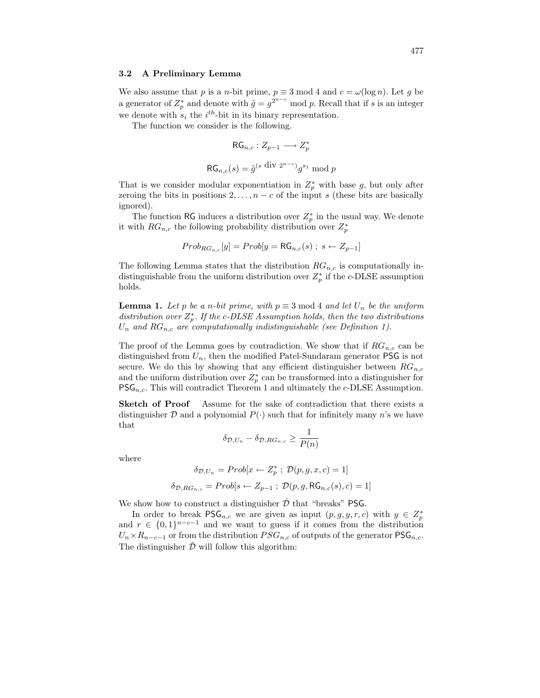#### 3.2 A Preliminary Lemma

We also assume that p is a n-bit prime,  $p \equiv 3 \mod 4$  and  $c = \omega(\log n)$ . Let g be a generator of  $Z_p^*$  and denote with  $\hat{g} = g^{2^{n-c}}$  mod p. Recall that if s is an integer we denote with  $s_i$  the  $i^{th}$ -bit in its binary representation.

The function we consider is the following.

$$
\mathsf{RG}_{n,c}: Z_{p-1} \longrightarrow Z_p^*
$$
  

$$
\mathsf{RG}_{n,c}(s) = \hat{g}^{(s \text{ div } 2^{n-c})} g^{s_1} \bmod p
$$

That is we consider modular exponentiation in  $Z_p^*$  with base g, but only after zeroing the bits in positions  $2, \ldots, n - c$  of the input s (these bits are basically ignored).

The function RG induces a distribution over  $Z_p^*$  in the usual way. We denote it with  $RG_{n,c}$  the following probability distribution over  $Z_p^*$ 

$$
Prob_{RG_{n,c}}[y] = Prob[y = RG_{n,c}(s); s \leftarrow Z_{p-1}]
$$

The following Lemma states that the distribution  $RG_{n,c}$  is computationally indistinguishable from the uniform distribution over  $Z_p^*$  if the c-DLSE assumption holds.

**Lemma 1.** Let p be a n-bit prime, with  $p \equiv 3 \mod 4$  and let  $U_n$  be the uniform distribution over  $Z_p^*$ . If the c-DLSE Assumption holds, then the two distributions  $U_n$  and  $RG_{n,c}$  are computationally indistinguishable (see Definition 1).

The proof of the Lemma goes by contradiction. We show that if  $RG_{n,c}$  can be distinguished from  $U_n$ , then the modified Patel-Sundaram generator **PSG** is not secure. We do this by showing that any efficient distinguisher between  $RG_{n,c}$ and the uniform distribution over  $Z_p^*$  can be transformed into a distinguisher for  $PSG_{n,c}$ . This will contradict Theorem 1 and ultimately the c-DLSE Assumption.

Sketch of Proof Assume for the sake of contradiction that there exists a distinguisher  $D$  and a polynomial  $P(\cdot)$  such that for infinitely many n's we have that

$$
\delta_{\mathcal{D},U_n} - \delta_{\mathcal{D},RG_{n,c}} \ge \frac{1}{P(n)}
$$

where

$$
\delta_{\mathcal{D},U_n} = Prob[x \leftarrow Z_p^* \ ; \ \mathcal{D}(p,g,x,c) = 1]
$$

$$
\delta_{\mathcal{D},RG_{n,c}} = Prob[s \leftarrow Z_{p-1} \ ; \ \mathcal{D}(p,g,\text{RG}_{n,c}(s),c) = 1]
$$

We show how to construct a distinguisher  $\hat{\mathcal{D}}$  that "breaks" PSG.

In order to break  $\mathsf{PSG}_{n,c}$  we are given as input  $(p, g, y, r, c)$  with  $y \in Z_p^*$ and  $r \in \{0,1\}^{n-c-1}$  and we want to guess if it comes from the distribution  $U_n \times R_{n-c-1}$  or from the distribution  $PSG_{n,c}$  of outputs of the generator  $PSG_{n,c}$ . The distinguisher  $\hat{\mathcal{D}}$  will follow this algorithm: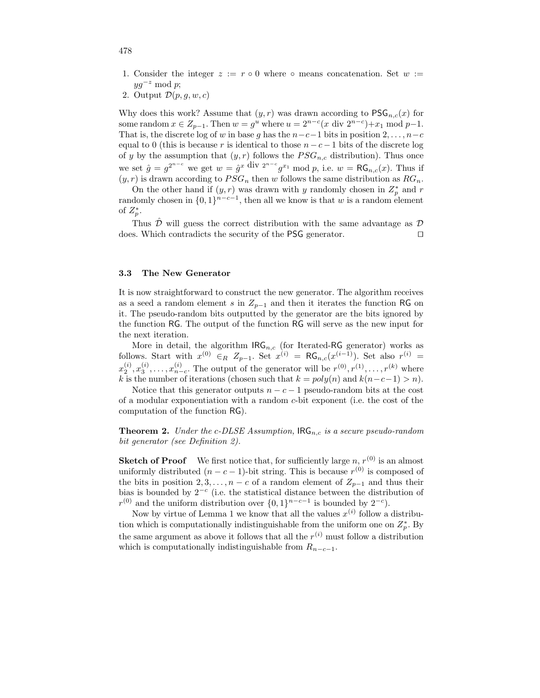- 1. Consider the integer  $z := r \circ 0$  where  $\circ$  means concatenation. Set  $w :=$  $yg^{-z} \mod p;$
- 2. Output  $\mathcal{D}(p,q,w,c)$

Why does this work? Assume that  $(y, r)$  was drawn according to  $PSG_{n,c}(x)$  for some random  $x \in Z_{p-1}$ . Then  $w = g^u$  where  $u = 2^{n-c}(x \text{ div } 2^{n-c}) + x_1 \text{ mod } p-1$ . That is, the discrete log of w in base g has the  $n-c-1$  bits in position  $2, \ldots, n-c$ equal to 0 (this is because r is identical to those  $n - c - 1$  bits of the discrete log of y by the assumption that  $(y, r)$  follows the  $PSG_{n,c}$  distribution). Thus once we set  $\hat{g} = g^{2^{n-c}}$  we get  $w = \hat{g}^x \text{ div } 2^{n-c} g^{x_1} \text{ mod } p$ , i.e.  $w = \mathsf{RG}_{n,c}(x)$ . Thus if  $(y,r)$  is drawn according to  $PSG_n$  then  $w$  follows the same distribution as  $RG_n.$ 

On the other hand if  $(y, r)$  was drawn with y randomly chosen in  $Z_p^*$  and r randomly chosen in  $\{0,1\}^{n-c-1}$ , then all we know is that w is a random element of  $Z_p^*$ .

Thus  $D$  will guess the correct distribution with the same advantage as  $D$ does. Which contradicts the security of the PSG generator.  $\Box$ 

#### 3.3 The New Generator

It is now straightforward to construct the new generator. The algorithm receives as a seed a random element s in  $Z_{p-1}$  and then it iterates the function RG on it. The pseudo-random bits outputted by the generator are the bits ignored by the function RG. The output of the function RG will serve as the new input for the next iteration.

More in detail, the algorithm  $\text{IRG}_{n,c}$  (for Iterated-RG generator) works as follows. Start with  $x^{(0)} \in R$   $Z_{p-1}$ . Set  $x^{(i)} = RG_{n,c}(x^{(i-1)})$ . Set also  $r^{(i)} =$  $x_2^{(i)}, x_3^{(i)}, \ldots, x_{n-c}^{(i)}$ . The output of the generator will be  $r^{(0)}, r^{(1)}, \ldots, r^{(k)}$  where k is the number of iterations (chosen such that  $k = poly(n)$  and  $k(n-c-1) > n$ ).

Notice that this generator outputs  $n - c - 1$  pseudo-random bits at the cost of a modular exponentiation with a random c-bit exponent (i.e. the cost of the computation of the function RG).

**Theorem 2.** Under the c-DLSE Assumption,  $\text{IRG}_{n,c}$  is a secure pseudo-random bit generator (see Definition 2).

**Sketch of Proof** We first notice that, for sufficiently large n,  $r^{(0)}$  is an almost uniformly distributed  $(n - c - 1)$ -bit string. This is because  $r^{(0)}$  is composed of the bits in position 2, 3, ...,  $n - c$  of a random element of  $Z_{p-1}$  and thus their bias is bounded by  $2^{-c}$  (i.e. the statistical distance between the distribution of  $r^{(0)}$  and the uniform distribution over  $\{0,1\}^{n-c-1}$  is bounded by  $2^{-c}$ ).

Now by virtue of Lemma 1 we know that all the values  $x^{(i)}$  follow a distribution which is computationally indistinguishable from the uniform one on  $Z_p^*$ . By the same argument as above it follows that all the  $r^{(i)}$  must follow a distribution which is computationally indistinguishable from  $R_{n-c-1}$ .

478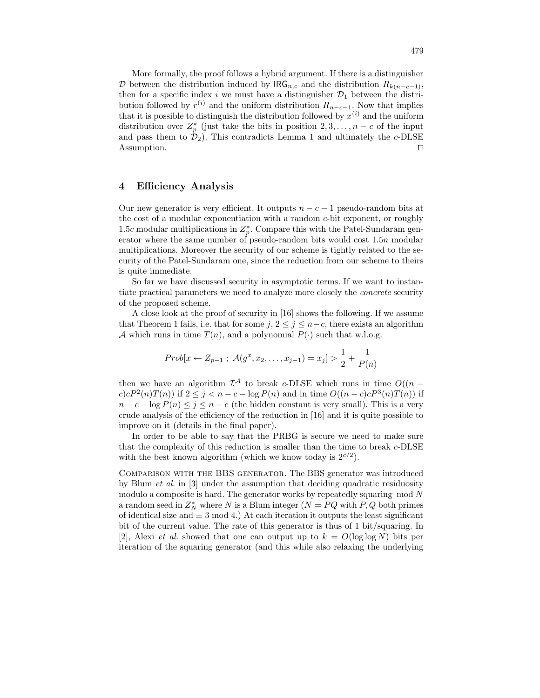More formally, the proof follows a hybrid argument. If there is a distinguisher D between the distribution induced by  $\text{IRG}_{n,c}$  and the distribution  $R_{k(n-c-1)}$ , then for a specific index i we must have a distinguisher  $\mathcal{D}_1$  between the distribution followed by  $r^{(i)}$  and the uniform distribution  $R_{n-c-1}$ . Now that implies that it is possible to distinguish the distribution followed by  $x^{(i)}$  and the uniform distribution over  $Z_p^*$  (just take the bits in position  $2, 3, \ldots, n - c$  of the input and pass them to  $\mathcal{D}_2$ ). This contradicts Lemma 1 and ultimately the c-DLSE  $\Box$  Assumption.

# 4 Efficiency Analysis

Our new generator is very efficient. It outputs  $n - c - 1$  pseudo-random bits at the cost of a modular exponentiation with a random c-bit exponent, or roughly 1.5c modular multiplications in  $Z_p^*$ . Compare this with the Patel-Sundaram generator where the same number of pseudo-random bits would cost 1.5n modular multiplications. Moreover the security of our scheme is tightly related to the security of the Patel-Sundaram one, since the reduction from our scheme to theirs is quite immediate.

So far we have discussed security in asymptotic terms. If we want to instantiate practical parameters we need to analyze more closely the concrete security of the proposed scheme.

A close look at the proof of security in [16] shows the following. If we assume that Theorem 1 fails, i.e. that for some  $j, 2 \leq j \leq n-c$ , there exists an algorithm A which runs in time  $T(n)$ , and a polynomial  $P(\cdot)$  such that w.l.o.g.

$$
Prob[x \leftarrow Z_{p-1} ; \mathcal{A}(g^x, x_2, \dots, x_{j-1}) = x_j] > \frac{1}{2} + \frac{1}{P(n)}
$$

then we have an algorithm  $\mathcal{I}^{\mathcal{A}}$  to break c-DLSE which runs in time  $O((n$  $c$ ) $cP^2(n)T(n)$  if  $2 \leq j < n - c - \log P(n)$  and in time  $O((n - c)cP^3(n)T(n))$  if  $n - c - \log P(n) \leq j \leq n - c$  (the hidden constant is very small). This is a very crude analysis of the efficiency of the reduction in [16] and it is quite possible to improve on it (details in the final paper).

In order to be able to say that the PRBG is secure we need to make sure that the complexity of this reduction is smaller than the time to break c-DLSE with the best known algorithm (which we know today is  $2^{c/2}$ ).

Comparison with the BBS generator. The BBS generator was introduced by Blum et al. in [3] under the assumption that deciding quadratic residuosity modulo a composite is hard. The generator works by repeatedly squaring mod N a random seed in  $Z_N^*$  where N is a Blum integer  $(N = PQ$  with  $P, Q$  both primes of identical size and  $\equiv 3 \mod 4$ .) At each iteration it outputs the least significant bit of the current value. The rate of this generator is thus of 1 bit/squaring. In [2], Alexi *et al.* showed that one can output up to  $k = O(\log \log N)$  bits per iteration of the squaring generator (and this while also relaxing the underlying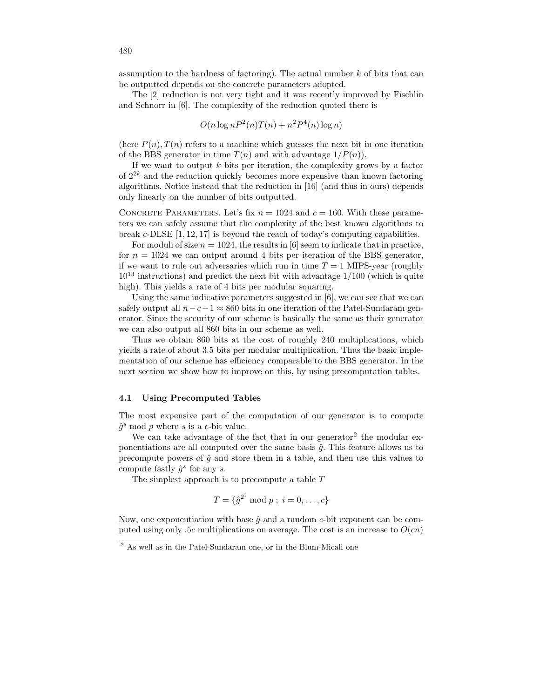assumption to the hardness of factoring). The actual number  $k$  of bits that can be outputted depends on the concrete parameters adopted.

The [2] reduction is not very tight and it was recently improved by Fischlin and Schnorr in [6]. The complexity of the reduction quoted there is

$$
O(n\log nP^2(n)T(n) + n^2P^4(n)\log n)
$$

(here  $P(n)$ ,  $T(n)$  refers to a machine which guesses the next bit in one iteration of the BBS generator in time  $T(n)$  and with advantage  $1/P(n)$ .

If we want to output  $k$  bits per iteration, the complexity grows by a factor of  $2^{2k}$  and the reduction quickly becomes more expensive than known factoring algorithms. Notice instead that the reduction in [16] (and thus in ours) depends only linearly on the number of bits outputted.

CONCRETE PARAMETERS. Let's fix  $n = 1024$  and  $c = 160$ . With these parameters we can safely assume that the complexity of the best known algorithms to break c-DLSE [1, 12, 17] is beyond the reach of today's computing capabilities.

For moduli of size  $n = 1024$ , the results in [6] seem to indicate that in practice, for  $n = 1024$  we can output around 4 bits per iteration of the BBS generator, if we want to rule out adversaries which run in time  $T = 1$  MIPS-year (roughly  $10^{13}$  instructions) and predict the next bit with advantage  $1/100$  (which is quite high). This yields a rate of 4 bits per modular squaring.

Using the same indicative parameters suggested in [6], we can see that we can safely output all  $n-c-1 \approx 860$  bits in one iteration of the Patel-Sundaram generator. Since the security of our scheme is basically the same as their generator we can also output all 860 bits in our scheme as well.

Thus we obtain 860 bits at the cost of roughly 240 multiplications, which yields a rate of about 3.5 bits per modular multiplication. Thus the basic implementation of our scheme has efficiency comparable to the BBS generator. In the next section we show how to improve on this, by using precomputation tables.

### 4.1 Using Precomputed Tables

The most expensive part of the computation of our generator is to compute  $\hat{g}^s \mod p$  where s is a c-bit value.

We can take advantage of the fact that in our generator<sup>2</sup> the modular exponentiations are all computed over the same basis  $\hat{q}$ . This feature allows us to precompute powers of  $\hat{q}$  and store them in a table, and then use this values to compute fastly  $\hat{g}^s$  for any s.

The simplest approach is to precompute a table T

$$
T = \{ \hat{g}^{2^i} \bmod p \; ; \; i = 0, \ldots, c \}
$$

Now, one exponentiation with base  $\hat{g}$  and a random c-bit exponent can be computed using only .5c multiplications on average. The cost is an increase to  $O(cn)$ 

 $\frac{2}{3}$  As well as in the Patel-Sundaram one, or in the Blum-Micali one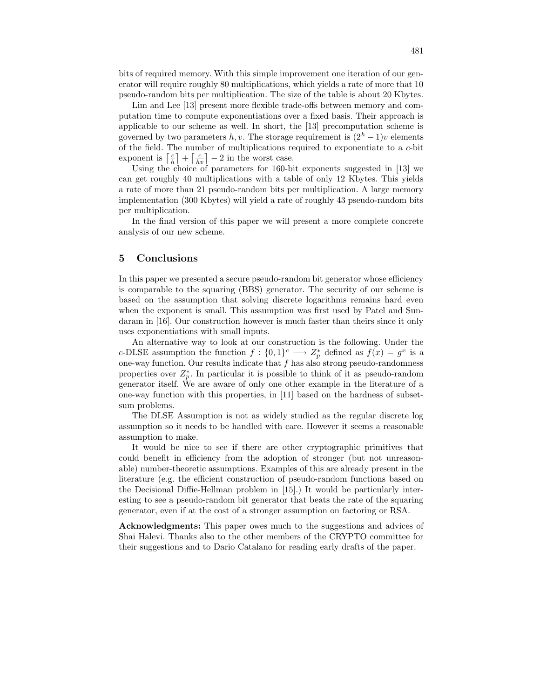bits of required memory. With this simple improvement one iteration of our generator will require roughly 80 multiplications, which yields a rate of more that 10 pseudo-random bits per multiplication. The size of the table is about 20 Kbytes.

Lim and Lee [13] present more flexible trade-offs between memory and computation time to compute exponentiations over a fixed basis. Their approach is applicable to our scheme as well. In short, the [13] precomputation scheme is governed by two parameters h, v. The storage requirement is  $(2<sup>h</sup> - 1)v$  elements of the field. The number of multiplications required to exponentiate to a c-bit exponent is  $\left\lceil \frac{c}{h} \right\rceil + \left\lceil \frac{c}{hv} \right\rceil - 2$  in the worst case.

Using the choice of parameters for 160-bit exponents suggested in [13] we can get roughly 40 multiplications with a table of only 12 Kbytes. This yields a rate of more than 21 pseudo-random bits per multiplication. A large memory implementation (300 Kbytes) will yield a rate of roughly 43 pseudo-random bits per multiplication.

In the final version of this paper we will present a more complete concrete analysis of our new scheme.

### 5 Conclusions

In this paper we presented a secure pseudo-random bit generator whose efficiency is comparable to the squaring (BBS) generator. The security of our scheme is based on the assumption that solving discrete logarithms remains hard even when the exponent is small. This assumption was first used by Patel and Sundaram in [16]. Our construction however is much faster than theirs since it only uses exponentiations with small inputs.

An alternative way to look at our construction is the following. Under the c-DLSE assumption the function  $f: \{0,1\}^c \longrightarrow Z_p^*$  defined as  $f(x) = g^x$  is a one-way function. Our results indicate that  $f$  has also strong pseudo-randomness properties over  $Z_p^*$ . In particular it is possible to think of it as pseudo-random generator itself. We are aware of only one other example in the literature of a one-way function with this properties, in [11] based on the hardness of subsetsum problems.

The DLSE Assumption is not as widely studied as the regular discrete log assumption so it needs to be handled with care. However it seems a reasonable assumption to make.

It would be nice to see if there are other cryptographic primitives that could benefit in efficiency from the adoption of stronger (but not unreasonable) number-theoretic assumptions. Examples of this are already present in the literature (e.g. the efficient construction of pseudo-random functions based on the Decisional Diffie-Hellman problem in [15].) It would be particularly interesting to see a pseudo-random bit generator that beats the rate of the squaring generator, even if at the cost of a stronger assumption on factoring or RSA.

Acknowledgments: This paper owes much to the suggestions and advices of Shai Halevi. Thanks also to the other members of the CRYPTO committee for their suggestions and to Dario Catalano for reading early drafts of the paper.